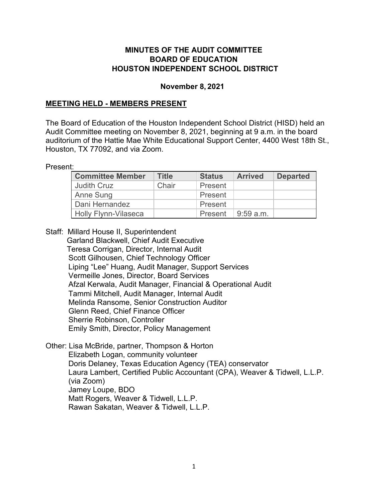#### **MINUTES OF THE AUDIT COMMITTEE BOARD OF EDUCATION HOUSTON INDEPENDENT SCHOOL DISTRICT**

#### **November 8, 2021**

#### **MEETING HELD - MEMBERS PRESENT**

The Board of Education of the Houston Independent School District (HISD) held an Audit Committee meeting on November 8, 2021, beginning at 9 a.m. in the board auditorium of the Hattie Mae White Educational Support Center, 4400 West 18th St., Houston, TX 77092, and via Zoom.

Present:

| <b>Committee Member</b> | <b>Title</b> | <b>Status</b> | <b>Arrived</b> | <b>Departed</b> |
|-------------------------|--------------|---------------|----------------|-----------------|
| <b>Judith Cruz</b>      | Chair        | Present       |                |                 |
| Anne Sung               |              | Present       |                |                 |
| Dani Hernandez          |              | Present       |                |                 |
| Holly Flynn-Vilaseca    |              | Present       | $9:59$ a.m.    |                 |

Staff: Millard House II, Superintendent

 Garland Blackwell, Chief Audit Executive Teresa Corrigan, Director, Internal Audit Scott Gilhousen, Chief Technology Officer Liping "Lee" Huang, Audit Manager, Support Services Vermeille Jones, Director, Board Services Afzal Kerwala, Audit Manager, Financial & Operational Audit Tammi Mitchell, Audit Manager, Internal Audit Melinda Ransome, Senior Construction Auditor Glenn Reed, Chief Finance Officer Sherrie Robinson, Controller Emily Smith, Director, Policy Management

Other: Lisa McBride, partner, Thompson & Horton

Elizabeth Logan, community volunteer Doris Delaney, Texas Education Agency (TEA) conservator Laura Lambert, Certified Public Accountant (CPA), Weaver & Tidwell, L.L.P. (via Zoom) Jamey Loupe, BDO Matt Rogers, Weaver & Tidwell, L.L.P. Rawan Sakatan, Weaver & Tidwell, L.L.P.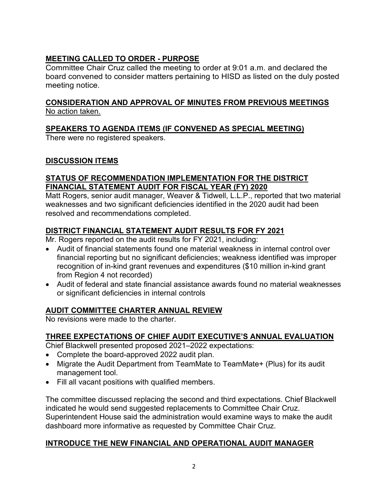# **MEETING CALLED TO ORDER - PURPOSE**

Committee Chair Cruz called the meeting to order at 9:01 a.m. and declared the board convened to consider matters pertaining to HISD as listed on the duly posted meeting notice.

## **CONSIDERATION AND APPROVAL OF MINUTES FROM PREVIOUS MEETINGS** No action taken.

# **SPEAKERS TO AGENDA ITEMS (IF CONVENED AS SPECIAL MEETING)**

There were no registered speakers.

## **DISCUSSION ITEMS**

### **STATUS OF RECOMMENDATION IMPLEMENTATION FOR THE DISTRICT FINANCIAL STATEMENT AUDIT FOR FISCAL YEAR (FY) 2020**

Matt Rogers, senior audit manager, Weaver & Tidwell, L.L.P., reported that two material weaknesses and two significant deficiencies identified in the 2020 audit had been resolved and recommendations completed.

## **DISTRICT FINANCIAL STATEMENT AUDIT RESULTS FOR FY 2021**

Mr. Rogers reported on the audit results for FY 2021, including:

- Audit of financial statements found one material weakness in internal control over financial reporting but no significant deficiencies; weakness identified was improper recognition of in-kind grant revenues and expenditures (\$10 million in-kind grant from Region 4 not recorded)
- Audit of federal and state financial assistance awards found no material weaknesses or significant deficiencies in internal controls

# **AUDIT COMMITTEE CHARTER ANNUAL REVIEW**

No revisions were made to the charter.

## **THREE EXPECTATIONS OF CHIEF AUDIT EXECUTIVE'S ANNUAL EVALUATION**

Chief Blackwell presented proposed 2021–2022 expectations:

- Complete the board-approved 2022 audit plan.
- Migrate the Audit Department from TeamMate to TeamMate+ (Plus) for its audit management tool.
- Fill all vacant positions with qualified members.

The committee discussed replacing the second and third expectations. Chief Blackwell indicated he would send suggested replacements to Committee Chair Cruz. Superintendent House said the administration would examine ways to make the audit dashboard more informative as requested by Committee Chair Cruz.

## **INTRODUCE THE NEW FINANCIAL AND OPERATIONAL AUDIT MANAGER**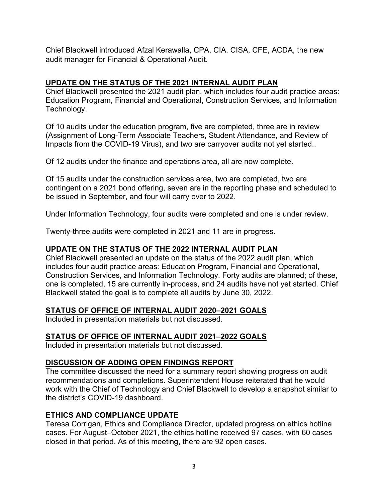Chief Blackwell introduced Afzal Kerawalla, CPA, CIA, CISA, CFE, ACDA, the new audit manager for Financial & Operational Audit.

### **UPDATE ON THE STATUS OF THE 2021 INTERNAL AUDIT PLAN**

Chief Blackwell presented the 2021 audit plan, which includes four audit practice areas: Education Program, Financial and Operational, Construction Services, and Information Technology.

Of 10 audits under the education program, five are completed, three are in review (Assignment of Long-Term Associate Teachers, Student Attendance, and Review of Impacts from the COVID-19 Virus), and two are carryover audits not yet started..

Of 12 audits under the finance and operations area, all are now complete.

Of 15 audits under the construction services area, two are completed, two are contingent on a 2021 bond offering, seven are in the reporting phase and scheduled to be issued in September, and four will carry over to 2022.

Under Information Technology, four audits were completed and one is under review.

Twenty-three audits were completed in 2021 and 11 are in progress.

## **UPDATE ON THE STATUS OF THE 2022 INTERNAL AUDIT PLAN**

Chief Blackwell presented an update on the status of the 2022 audit plan, which includes four audit practice areas: Education Program, Financial and Operational, Construction Services, and Information Technology. Forty audits are planned; of these, one is completed, 15 are currently in-process, and 24 audits have not yet started. Chief Blackwell stated the goal is to complete all audits by June 30, 2022.

## **STATUS OF OFFICE OF INTERNAL AUDIT 2020–2021 GOALS**

Included in presentation materials but not discussed.

## **STATUS OF OFFICE OF INTERNAL AUDIT 2021–2022 GOALS**

Included in presentation materials but not discussed.

#### **DISCUSSION OF ADDING OPEN FINDINGS REPORT**

The committee discussed the need for a summary report showing progress on audit recommendations and completions. Superintendent House reiterated that he would work with the Chief of Technology and Chief Blackwell to develop a snapshot similar to the district's COVID-19 dashboard.

## **ETHICS AND COMPLIANCE UPDATE**

Teresa Corrigan, Ethics and Compliance Director, updated progress on ethics hotline cases. For August–October 2021, the ethics hotline received 97 cases, with 60 cases closed in that period. As of this meeting, there are 92 open cases.